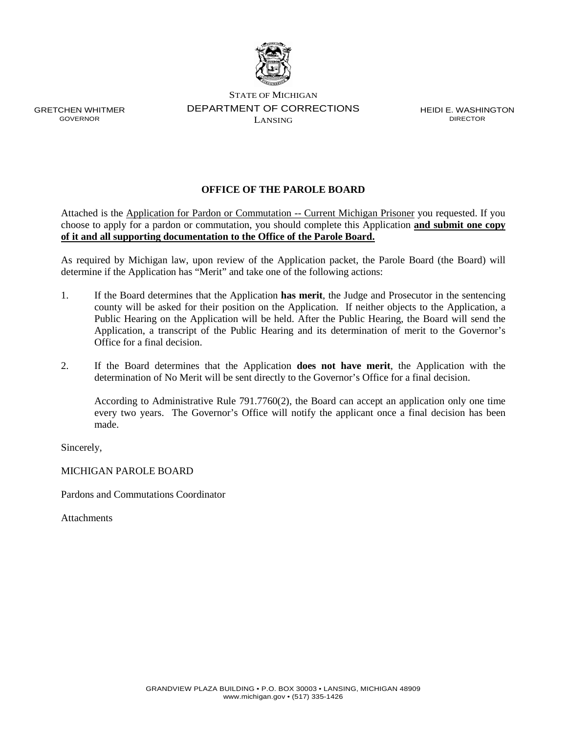

GRETCHEN WHITMER GOVERNOR

STATE OF MICHIGAN DEPARTMENT OF CORRECTIONS LANSING

HEIDI E. WASHINGTON DIRECTOR

## **OFFICE OF THE PAROLE BOARD**

Attached is the Application for Pardon or Commutation -- Current Michigan Prisoner you requested. If you choose to apply for a pardon or commutation, you should complete this Application **and submit one copy of it and all supporting documentation to the Office of the Parole Board.**

As required by Michigan law, upon review of the Application packet, the Parole Board (the Board) will determine if the Application has "Merit" and take one of the following actions:

- 1. If the Board determines that the Application **has merit**, the Judge and Prosecutor in the sentencing county will be asked for their position on the Application. If neither objects to the Application, a Public Hearing on the Application will be held. After the Public Hearing, the Board will send the Application, a transcript of the Public Hearing and its determination of merit to the Governor's Office for a final decision.
- 2. If the Board determines that the Application **does not have merit**, the Application with the determination of No Merit will be sent directly to the Governor's Office for a final decision.

According to Administrative Rule 791.7760(2), the Board can accept an application only one time every two years. The Governor's Office will notify the applicant once a final decision has been made.

Sincerely,

MICHIGAN PAROLE BOARD

Pardons and Commutations Coordinator

Attachments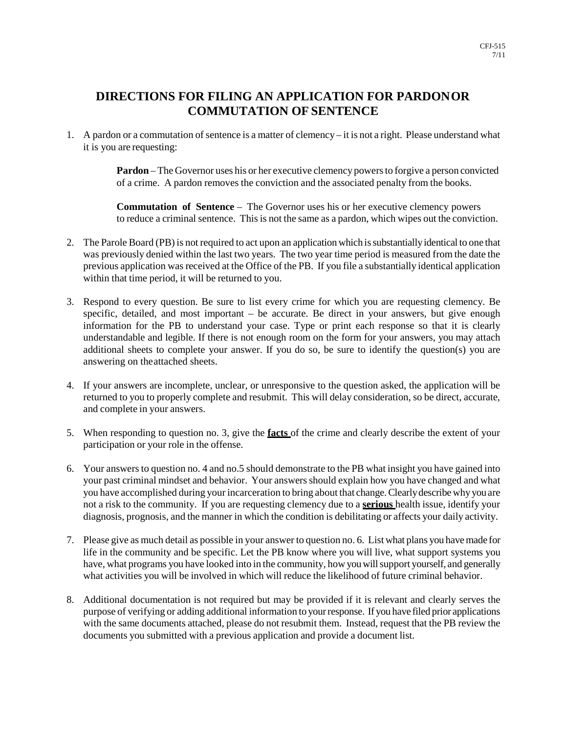## **DIRECTIONS FOR FILING AN APPLICATION FOR PARDON OR COMMUTATION OF SENTENCE**

1. A pardon or a commutation of sentence is a matter of clemency – it is not a right. Please understand what it is you are requesting:

> **Pardon** – The Governor uses his or her executive clemency powers to forgive a person convicted of a crime. A pardon removes the conviction and the associated penalty from the books.

> **Commutation of Sentence** – The Governor uses his or her executive clemency powers to reduce a criminal sentence. This is not the same as a pardon, which wipes out the conviction.

- 2. The Parole Board (PB) is not required to act upon an application which is substantially identical to one that was previously denied within the last two years. The two year time period is measured from the date the previous application was received at the Office of the PB. If you file a substantially identical application within that time period, it will be returned to you.
- 3. Respond to every question. Be sure to list every crime for which you are requesting clemency. Be specific, detailed, and most important – be accurate. Be direct in your answers, but give enough information for the PB to understand your case. Type or print each response so that it is clearly understandable and legible. If there is not enough room on the form for your answers, you may attach additional sheets to complete your answer. If you do so, be sure to identify the question(s) you are answering on the attached sheets.
- 4. If your answers are incomplete, unclear, or unresponsive to the question asked, the application will be returned to you to properly complete and resubmit. This will delay consideration, so be direct, accurate, and complete in your answers.
- 5. When responding to question no. 3, give the **facts** of the crime and clearly describe the extent of your participation or your role in the offense.
- 6. Your answers to question no. 4 and no.5 should demonstrate to the PB what insight you have gained into your past criminal mindset and behavior. Your answers should explain how you have changed and what you have accomplished during your incarceration to bring about that change. Clearly describe why you are not a risk to the community. If you are requesting clemency due to a **serious** health issue, identify your diagnosis, prognosis, and the manner in which the condition is debilitating or affects your daily activity.
- 7. Please give as much detail as possible in your answer to question no. 6. List what plans you have made for life in the community and be specific. Let the PB know where you will live, what support systems you have, what programs you have looked into in the community, how you will support yourself, and generally what activities you will be involved in which will reduce the likelihood of future criminal behavior.
- 8. Additional documentation is not required but may be provided if it is relevant and clearly serves the purpose of verifying or adding additional information to your response. If you have filed prior applications with the same documents attached, please do not resubmit them. Instead, request that the PB review the documents you submitted with a previous application and provide a document list.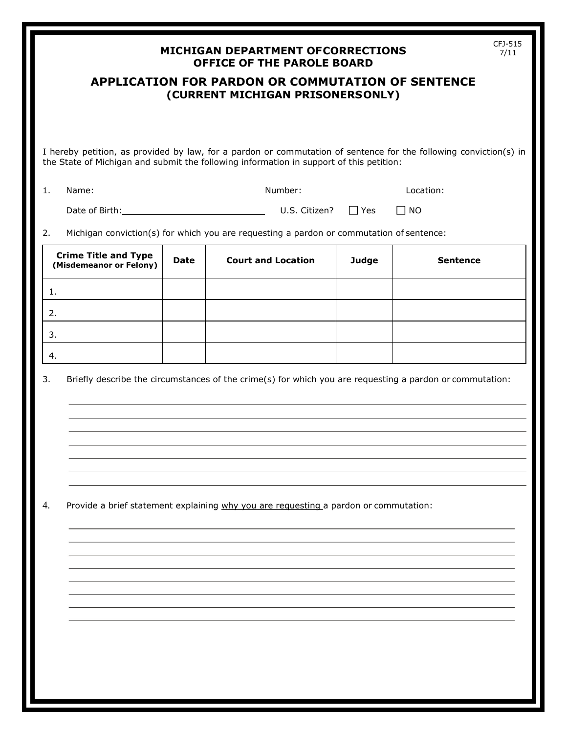|    |                                                                                      |             | <b>MICHIGAN DEPARTMENT OFCORRECTIONS</b><br><b>OFFICE OF THE PAROLE BOARD</b>                                                                                                                                |              | CFJ-515<br>7/11 |  |
|----|--------------------------------------------------------------------------------------|-------------|--------------------------------------------------------------------------------------------------------------------------------------------------------------------------------------------------------------|--------------|-----------------|--|
|    |                                                                                      |             | <b>APPLICATION FOR PARDON OR COMMUTATION OF SENTENCE</b><br>(CURRENT MICHIGAN PRISONERSONLY)                                                                                                                 |              |                 |  |
|    |                                                                                      |             |                                                                                                                                                                                                              |              |                 |  |
|    |                                                                                      |             | I hereby petition, as provided by law, for a pardon or commutation of sentence for the following conviction(s) in<br>the State of Michigan and submit the following information in support of this petition: |              |                 |  |
| 1. |                                                                                      |             |                                                                                                                                                                                                              |              |                 |  |
|    |                                                                                      |             |                                                                                                                                                                                                              |              | $\Box$ NO       |  |
| 2. |                                                                                      |             | Michigan conviction(s) for which you are requesting a pardon or commutation of sentence:                                                                                                                     |              |                 |  |
|    | <b>Crime Title and Type</b><br>(Misdemeanor or Felony)                               | <b>Date</b> | <b>Court and Location</b>                                                                                                                                                                                    | <b>Judge</b> | <b>Sentence</b> |  |
| 1. |                                                                                      |             |                                                                                                                                                                                                              |              |                 |  |
| 2. |                                                                                      |             |                                                                                                                                                                                                              |              |                 |  |
| 3. |                                                                                      |             |                                                                                                                                                                                                              |              |                 |  |
| 4. |                                                                                      |             |                                                                                                                                                                                                              |              |                 |  |
| 3. |                                                                                      |             | Briefly describe the circumstances of the crime(s) for which you are requesting a pardon or commutation:                                                                                                     |              |                 |  |
|    |                                                                                      |             |                                                                                                                                                                                                              |              |                 |  |
|    |                                                                                      |             |                                                                                                                                                                                                              |              |                 |  |
|    |                                                                                      |             |                                                                                                                                                                                                              |              |                 |  |
|    |                                                                                      |             |                                                                                                                                                                                                              |              |                 |  |
|    |                                                                                      |             |                                                                                                                                                                                                              |              |                 |  |
| 4. | Provide a brief statement explaining why you are requesting a pardon or commutation: |             |                                                                                                                                                                                                              |              |                 |  |
|    |                                                                                      |             |                                                                                                                                                                                                              |              |                 |  |
|    |                                                                                      |             |                                                                                                                                                                                                              |              |                 |  |
|    |                                                                                      |             |                                                                                                                                                                                                              |              |                 |  |
|    |                                                                                      |             |                                                                                                                                                                                                              |              |                 |  |
|    |                                                                                      |             |                                                                                                                                                                                                              |              |                 |  |
|    |                                                                                      |             |                                                                                                                                                                                                              |              |                 |  |
|    |                                                                                      |             |                                                                                                                                                                                                              |              |                 |  |
|    |                                                                                      |             |                                                                                                                                                                                                              |              |                 |  |